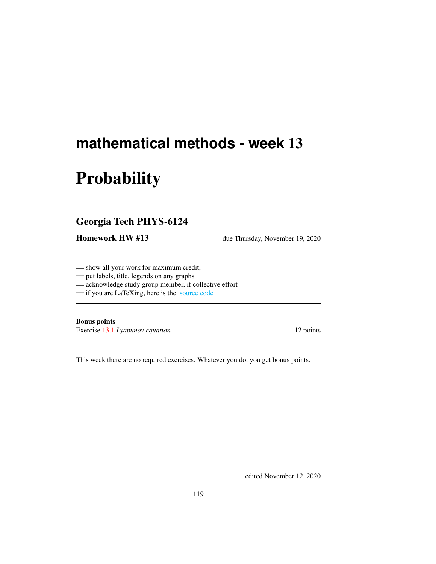# <span id="page-0-0"></span>**mathematical methods - week** 13

# **Probability**

# Georgia Tech PHYS-6124

Homework HW #13 due Thursday, November 19, 2020

== show all your work for maximum credit,

== put labels, title, legends on any graphs

== acknowledge study group member, if collective effort

== if you are LaTeXing, here is the [source code](http://ChaosBook.org/~predrag/courses/PHYS-6124-20/exerWeek13.tex)

Bonus points

Exercise [13.1](#page-3-0) *Lyapunov equation* 12 points

This week there are no required exercises. Whatever you do, you get bonus points.

edited November 12, 2020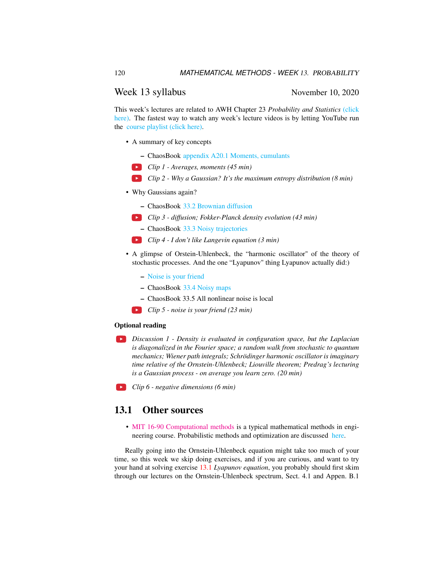#### Week 13 syllabus November 10, 2020

This week's lectures are related to AWH Chapter 23 *Probability and Statistics* [\(click](http://ChaosBook.org/library/ArWeHa13chap23.pdf) [here\).](http://ChaosBook.org/library/ArWeHa13chap23.pdf) The fastest way to watch any week's lecture videos is by letting YouTube run the [course playlist \(click here\).](https://www.youtube.com/watch?v=yxixfl__vv8&list=PLVcaOb64gCp-J115RvfOhE1Yb4s584Mho&index=137)

- A summary of key concepts
	- ChaosBook [appendix A20.1 Moments, cumulants](http://ChaosBook.org/chapters/ChaosBook.pdf#section.T.1)
	- *Clip 1 Averages, moments (45 min)*
	- *Clip 2 Why a Gaussian? It's the maximum entropy distribution (8 min)*
- Why Gaussians again?
	- ChaosBook [33.2 Brownian diffusion](http://ChaosBook.org/chapters/ChaosBook.pdf#section.33.2)
	- *Clip 3 diffusion; Fokker-Planck density evolution (43 min)*
		- ChaosBook [33.3 Noisy trajectories](http://ChaosBook.org/chapters/ChaosBook.pdf#section.33.3)
	- *Clip 4 I don't like Langevin equation (3 min)*
- A glimpse of Orstein-Uhlenbeck, the "harmonic oscillator" of the theory of stochastic processes. And the one "Lyapunov" thing Lyapunov actually did:)
	- [Noise is your friend](http://ChaosBook.org/~predrag/courses/PHYS-6124-20/noiseURfriend.pdf)
	- ChaosBook [33.4 Noisy maps](http://ChaosBook.org/chapters/ChaosBook.pdf#section.33.4)
	- ChaosBook 33.5 All nonlinear noise is local
	- *Clip 5 noise is your friend (23 min)*

#### Optional reading

- *Discussion 1 Density is evaluated in configuration space, but the Laplacian is diagonalized in the Fourier space; a random walk from stochastic to quantum mechanics; Wiener path integrals; Schrödinger harmonic oscillator is imaginary time relative of the Ornstein-Uhlenbeck; Liouville theorem; Predrag's lecturing is a Gaussian process - on average you learn zero. (20 min)*
- *Clip 6 negative dimensions (6 min)*

### 13.1 Other sources

• [MIT 16-90 Computational methods](#page-0-0) is a typical mathematical methods in engineering course. Probabilistic methods and optimization are discussed [here.](https://ocw.mit.edu/courses/aeronautics-and-astronautics/16-90-computational-methods-in-aerospace-engineering-spring-2014/probabilistic-methods-and-optimization/)

Really going into the Ornstein-Uhlenbeck equation might take too much of your time, so this week we skip doing exercises, and if you are curious, and want to try your hand at solving exercise [13.1](#page-3-0) *Lyapunov equation*, you probably should first skim through our lectures on the Ornstein-Uhlenbeck spectrum, Sect. 4.1 and Appen. B.1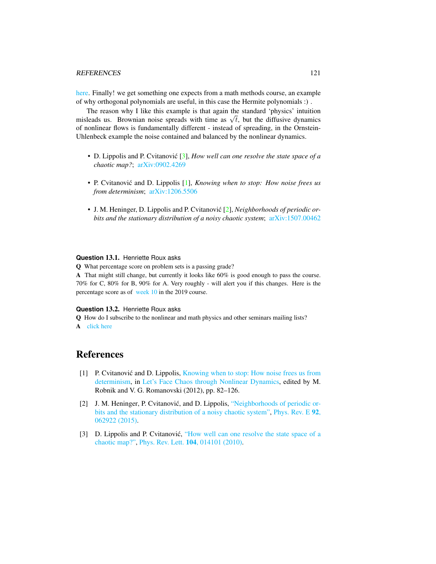[here.](http://www.cns.gatech.edu/~predrag/papers/CviLip12.pdf) Finally! we get something one expects from a math methods course, an example of why orthogonal polynomials are useful, in this case the Hermite polynomials :) .

The reason why I like this example is that again the standard 'physics' intuition The reason why I like this example is that again the standard physics intuition misleads us. Brownian noise spreads with time as  $\sqrt{t}$ , but the diffusive dynamics of nonlinear flows is fundamentally different - instead of spreading, in the Ornstein-Uhlenbeck example the noise contained and balanced by the nonlinear dynamics.

- D. Lippolis and P. Cvitanović [[3\]](#page-2-0), *How well can one resolve the state space of a chaotic map?*; [arXiv:0902.4269](https://arXiv.org/abs/0902.4269)
- P. Cvitanović and D. Lippolis [[1\]](#page-2-1), *Knowing when to stop: How noise frees us from determinism*; [arXiv:1206.5506](https://arXiv.org/abs/1206.5506)
- J. M. Heninger, D. Lippolis and P. Cvitanović [[2\]](#page-2-2), *Neighborhoods of periodic orbits and the stationary distribution of a noisy chaotic system*; [arXiv:1507.00462](https://arXiv.org/abs/1507.00462)

#### **Question** 13.1. Henriette Roux asks

Q What percentage score on problem sets is a passing grade?

A That might still change, but currently it looks like 60% is good enough to pass the course. 70% for C, 80% for B, 90% for A. Very roughly - will alert you if this changes. Here is the percentage score as of [week 10](http://ChaosBook.org/~predrag/courses/PHYS-6124-20/grades.png) in the 2019 course.

#### **Question** 13.2. Henriette Roux asks

Q How do I subscribe to the nonlinear and math physics and other seminars mailing lists? A [click here](http://www.cns.gatech.edu/computers/info.html)

## References

- <span id="page-2-1"></span>[1] P. Cvitanovic and D. Lippolis, [Knowing when to stop: How noise frees us from](https://arxiv.org/abs/1206.5506) [determinism,](https://arxiv.org/abs/1206.5506) in [Let's Face Chaos through Nonlinear Dynamics,](https://doi.org/10.1063/1.4745574) edited by M. Robnik and V. G. Romanovski (2012), pp. 82–126.
- <span id="page-2-2"></span>[2] J. M. Heninger, P. Cvitanović, and D. Lippolis, ["Neighborhoods of periodic or](http://dx.doi.org/10.1103/PhysRevE.92.062922)[bits and the stationary distribution of a noisy chaotic system",](http://dx.doi.org/10.1103/PhysRevE.92.062922) [Phys. Rev. E](https://doi.org/10.1103/PhysRevE.92.062922) 92, [062922 \(2015\).](https://doi.org/10.1103/PhysRevE.92.062922)
- <span id="page-2-0"></span>[3] D. Lippolis and P. Cvitanović, ["How well can one resolve the state space of a](http://dx.doi.org/10.1103/PhysRevLett.104.014101) [chaotic map?",](http://dx.doi.org/10.1103/PhysRevLett.104.014101) Phys. Rev. Lett. 104[, 014101 \(2010\).](https://doi.org/10.1103/PhysRevLett.104.014101)